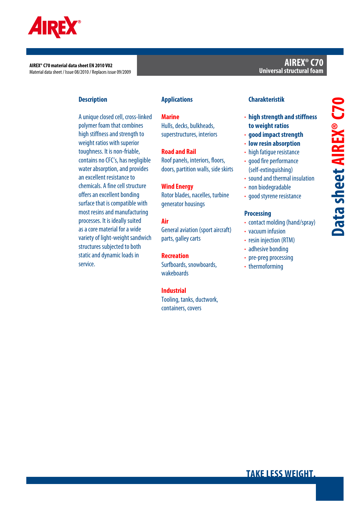

**AIREX® C70 material data sheet EN 2010 V02** Material data sheet / Issue 08/2010 / Replaces issue 09/2009

## **Description**

A unique closed cell, cross-linked polymer foam that combines high stiffness and strength to weight ratios with superior toughness. It is non-friable, contains no CFC's, has negligible water absorption, and provides an excellent resistance to chemicals. A fine cell structure offers an excellent bonding surface that is compatible with most resins and manufacturing processes. It is ideally suited as a core material for a wide variety of light-weight sandwich structures subjected to both static and dynamic loads in service.

## **Applications**

## **Marine**

Hulls, decks, bulkheads, superstructures, interiors

## **Road and Rail**

Roof panels, interiors, floors, doors, partition walls, side skirts

### **Wind Energy**

Rotor blades, nacelles, turbine generator housings

### **Air**

General aviation (sport aircraft) parts, galley carts

# **Recreation**

Surfboards, snowboards, wakeboards

## **Industrial**

Tooling, tanks, ductwork, containers, covers

## **Charakteristik**

**· high strength and stiffness to weight ratios** 

**AIREX® C70**

**Universal structural foam** 

- **· good impact strength**
- **· low resin absorption**
- **·** high fatigue resistance
- **·** good fire performance (self-extinguishing)
- **·** sound and thermal insulation
- **·** non biodegradable
- **·** good styrene resistance

### **Processing**

- **·** contact molding (hand/spray)
- **·** vacuum infusion
- **·** resin injection (RTM)
- **·** adhesive bonding
- **·** pre-preg processing
- **·** thermoforming

**TAKE LESS WEIGHT.**